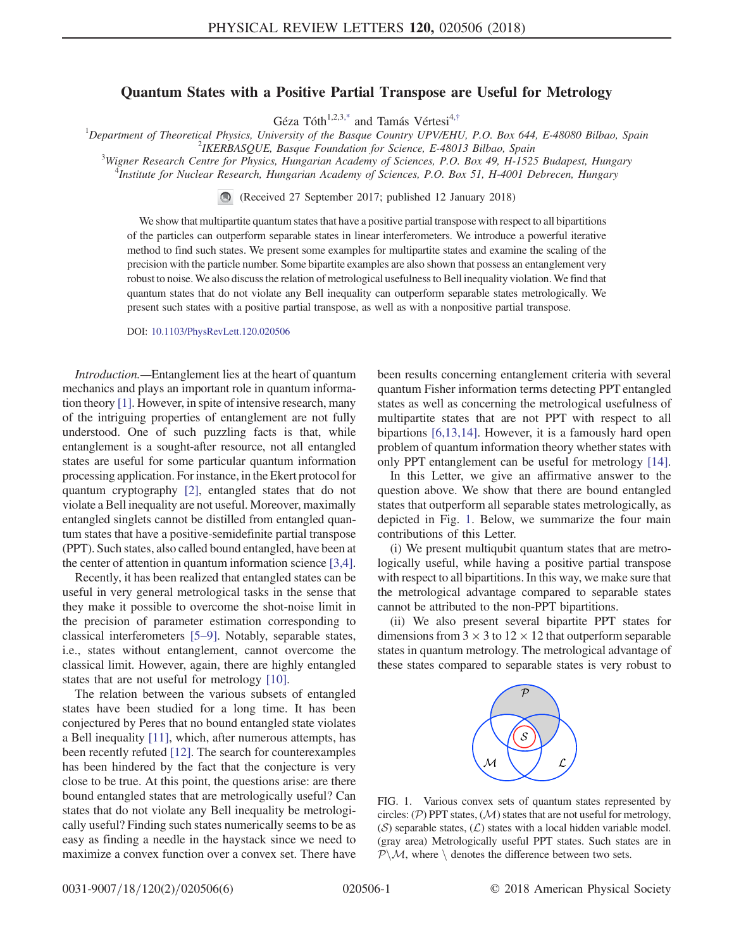## Quantum States with a Positive Partial Transpose are Useful for Metrology

Géza Tóth<sup>1,2,3[,\\*](#page-3-0)</sup> and Tamás Vértesi<sup>4,[†](#page-3-1)</sup>

<span id="page-0-1"></span><sup>1</sup>Department of Theoretical Physics, University of the Basque Country UPV/EHU, P.O. Box 644, E-48080 Bilbao, Spain  $\frac{2}{1}$  $2$ IKERBASQUE, Basque Foundation for Science, E-48013 Bilbao, Spain

 $W$ <sup>3</sup>Wigner Research Centre for Physics, Hungarian Academy of Sciences, P.O. Box 49, H-1525 Budapest, Hungary

Institute for Nuclear Research, Hungarian Academy of Sciences, P.O. Box 51, H-4001 Debrecen, Hungary

(Received 27 September 2017; published 12 January 2018)

We show that multipartite quantum states that have a positive partial transpose with respect to all bipartitions of the particles can outperform separable states in linear interferometers. We introduce a powerful iterative method to find such states. We present some examples for multipartite states and examine the scaling of the precision with the particle number. Some bipartite examples are also shown that possess an entanglement very robust to noise. We also discuss the relation of metrological usefulness to Bell inequality violation. We find that quantum states that do not violate any Bell inequality can outperform separable states metrologically. We present such states with a positive partial transpose, as well as with a nonpositive partial transpose.

DOI: [10.1103/PhysRevLett.120.020506](https://doi.org/10.1103/PhysRevLett.120.020506)

Introduction.—Entanglement lies at the heart of quantum mechanics and plays an important role in quantum information theory [\[1\].](#page-3-2) However, in spite of intensive research, many of the intriguing properties of entanglement are not fully understood. One of such puzzling facts is that, while entanglement is a sought-after resource, not all entangled states are useful for some particular quantum information processing application. For instance, in the Ekert protocol for quantum cryptography [\[2\],](#page-3-3) entangled states that do not violate a Bell inequality are not useful. Moreover, maximally entangled singlets cannot be distilled from entangled quantum states that have a positive-semidefinite partial transpose (PPT). Such states, also called bound entangled, have been at the center of attention in quantum information science [\[3,4\]](#page-3-4).

Recently, it has been realized that entangled states can be useful in very general metrological tasks in the sense that they make it possible to overcome the shot-noise limit in the precision of parameter estimation corresponding to classical interferometers [5–[9\]](#page-3-5). Notably, separable states, i.e., states without entanglement, cannot overcome the classical limit. However, again, there are highly entangled states that are not useful for metrology [\[10\]](#page-4-0).

The relation between the various subsets of entangled states have been studied for a long time. It has been conjectured by Peres that no bound entangled state violates a Bell inequality [\[11\],](#page-4-1) which, after numerous attempts, has been recently refuted [\[12\]](#page-4-2). The search for counterexamples has been hindered by the fact that the conjecture is very close to be true. At this point, the questions arise: are there bound entangled states that are metrologically useful? Can states that do not violate any Bell inequality be metrologically useful? Finding such states numerically seems to be as easy as finding a needle in the haystack since we need to maximize a convex function over a convex set. There have been results concerning entanglement criteria with several quantum Fisher information terms detecting PPT entangled states as well as concerning the metrological usefulness of multipartite states that are not PPT with respect to all bipartions [\[6,13,14\]](#page-3-6). However, it is a famously hard open problem of quantum information theory whether states with only PPT entanglement can be useful for metrology [\[14\]](#page-4-3).

In this Letter, we give an affirmative answer to the question above. We show that there are bound entangled states that outperform all separable states metrologically, as depicted in Fig. [1](#page-0-0). Below, we summarize the four main contributions of this Letter.

(i) We present multiqubit quantum states that are metrologically useful, while having a positive partial transpose with respect to all bipartitions. In this way, we make sure that the metrological advantage compared to separable states cannot be attributed to the non-PPT bipartitions.

<span id="page-0-0"></span>(ii) We also present several bipartite PPT states for dimensions from  $3 \times 3$  to  $12 \times 12$  that outperform separable states in quantum metrology. The metrological advantage of these states compared to separable states is very robust to



FIG. 1. Various convex sets of quantum states represented by circles:  $(\mathcal{P})$  PPT states,  $(\mathcal{M})$  states that are not useful for metrology,  $(S)$  separable states,  $(\mathcal{L})$  states with a local hidden variable model. (gray area) Metrologically useful PPT states. Such states are in  $P\backslash M$ , where  $\backslash$  denotes the difference between two sets.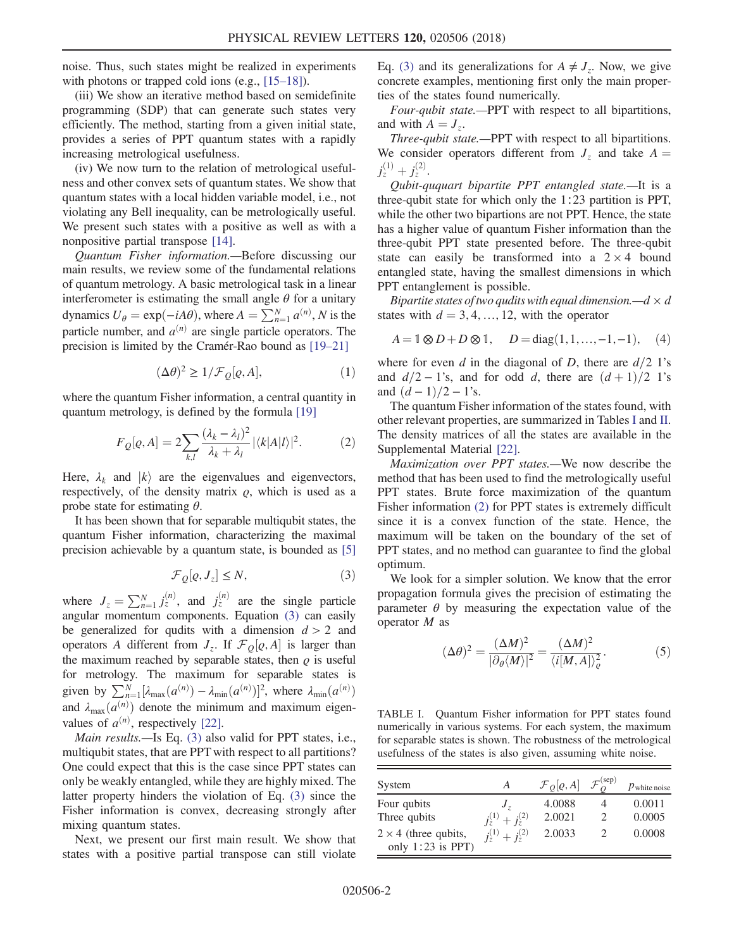noise. Thus, such states might be realized in experiments with photons or trapped cold ions (e.g., [\[15](#page-4-4)–18]).

(iii) We show an iterative method based on semidefinite programming (SDP) that can generate such states very efficiently. The method, starting from a given initial state, provides a series of PPT quantum states with a rapidly increasing metrological usefulness.

(iv) We now turn to the relation of metrological usefulness and other convex sets of quantum states. We show that quantum states with a local hidden variable model, i.e., not violating any Bell inequality, can be metrologically useful. We present such states with a positive as well as with a nonpositive partial transpose [\[14\]](#page-4-3).

Quantum Fisher information.—Before discussing our main results, we review some of the fundamental relations of quantum metrology. A basic metrological task in a linear interferometer is estimating the small angle  $\theta$  for a unitary dynamics  $U_{\theta} = \exp(-iA\theta)$ , where  $A = \sum_{n=1}^{N} a^{(n)}$ , N is the particle number, and  $a^{(n)}$  are single particle operators. The precision is limited by the Cramér-Rao bound as [\[19](#page-4-5)–21]

$$
(\Delta \theta)^2 \geq 1/\mathcal{F}_{\mathcal{Q}}[\varrho, A], \tag{1}
$$

<span id="page-1-3"></span><span id="page-1-2"></span>where the quantum Fisher information, a central quantity in quantum metrology, is defined by the formula [\[19\]](#page-4-5)

$$
F_Q[\varrho, A] = 2 \sum_{k,l} \frac{(\lambda_k - \lambda_l)^2}{\lambda_k + \lambda_l} |\langle k|A|l\rangle|^2. \tag{2}
$$

Here,  $\lambda_k$  and  $|k\rangle$  are the eigenvalues and eigenvectors, respectively, of the density matrix  $\rho$ , which is used as a probe state for estimating  $\theta$ .

<span id="page-1-0"></span>It has been shown that for separable multiqubit states, the quantum Fisher information, characterizing the maximal precision achievable by a quantum state, is bounded as [\[5\]](#page-3-5)

$$
\mathcal{F}_{Q}[\varrho, J_{z}] \leq N, \tag{3}
$$

where  $J_z = \sum_{n=1}^{N} j_z^{(n)}$ , and  $j_z^{(n)}$  are the single particle angular momentum components. Equation [\(3\)](#page-1-0) can easily be generalized for qudits with a dimension  $d > 2$  and operators A different from  $J_z$ . If  $\mathcal{F}_Q[\varrho,A]$  is larger than the maximum reached by separable states, then  $\rho$  is useful for metrology. The maximum for separable states is given by  $\sum_{n=1}^{N} [\lambda_{\max}(a^{(n)}) - \lambda_{\min}(a^{(n)})]^2$ , where  $\lambda_{\min}(a^{(n)})$ and  $\lambda_{\max}(a^{(n)})$  denote the minimum and maximum eigenvalues of  $a^{(n)}$ , respectively [\[22\]](#page-4-6).

Main results.—Is Eq. [\(3\)](#page-1-0) also valid for PPT states, i.e., multiqubit states, that are PPT with respect to all partitions? One could expect that this is the case since PPT states can only be weakly entangled, while they are highly mixed. The latter property hinders the violation of Eq. [\(3\)](#page-1-0) since the Fisher information is convex, decreasing strongly after mixing quantum states.

Next, we present our first main result. We show that states with a positive partial transpose can still violate Eq. [\(3\)](#page-1-0) and its generalizations for  $A \neq J_z$ . Now, we give concrete examples, mentioning first only the main properties of the states found numerically.

Four-qubit state.—PPT with respect to all bipartitions, and with  $A = J_z$ .

Three-qubit state.—PPT with respect to all bipartitions. We consider operators different from  $J_z$  and take  $A =$  $j_z^{(1)}+j_z^{(2)}$ .

Qubit-ququart bipartite PPT entangled state.—It is a three-qubit state for which only the 1∶23 partition is PPT, while the other two bipartions are not PPT. Hence, the state has a higher value of quantum Fisher information than the three-qubit PPT state presented before. The three-qubit state can easily be transformed into a  $2 \times 4$  bound entangled state, having the smallest dimensions in which PPT entanglement is possible.

<span id="page-1-5"></span>Bipartite states of two qudits with equal dimension.— $d \times d$ states with  $d = 3, 4, ..., 12$ , with the operator

$$
A = \mathbb{1} \otimes D + D \otimes \mathbb{1}, \quad D = \text{diag}(1, 1, \dots, -1, -1), \quad (4)
$$

where for even d in the diagonal of D, there are  $d/2$  1's and  $d/2 - 1$ 's, and for odd d, there are  $(d+1)/2$  1's and  $(d-1)/2 - 1$ 's.

The quantum Fisher information of the states found, with other relevant properties, are summarized in Tables [I](#page-1-1) and [II](#page-2-0). The density matrices of all the states are available in the Supplemental Material [\[22\].](#page-4-6)

Maximization over PPT states.—We now describe the method that has been used to find the metrologically useful PPT states. Brute force maximization of the quantum Fisher information [\(2\)](#page-1-2) for PPT states is extremely difficult since it is a convex function of the state. Hence, the maximum will be taken on the boundary of the set of PPT states, and no method can guarantee to find the global optimum.

<span id="page-1-4"></span>We look for a simpler solution. We know that the error propagation formula gives the precision of estimating the parameter  $\theta$  by measuring the expectation value of the operator M as

$$
(\Delta \theta)^2 = \frac{(\Delta M)^2}{|\partial_\theta \langle M \rangle|^2} = \frac{(\Delta M)^2}{\langle i[M, A] \rangle^2_{\varrho}}.
$$
 (5)

<span id="page-1-1"></span>TABLE I. Quantum Fisher information for PPT states found numerically in various systems. For each system, the maximum for separable states is shown. The robustness of the metrological usefulness of the states is also given, assuming white noise.

| System                                             | А                       | $\mathcal{F}_O[\varrho,A]$ | $\mathcal{F}_O^{(\text{sep})}$ | $P$ white noise |
|----------------------------------------------------|-------------------------|----------------------------|--------------------------------|-----------------|
| Four qubits                                        | J,                      | 4.0088                     |                                | 0.0011          |
| Three qubits                                       | $j_z^{(1)}+j_z^{(2)}$   | 2.0021                     |                                | 0.0005          |
| $2 \times 4$ (three qubits,<br>only $1:23$ is PPT) | $j_z^{(1)} + j_z^{(2)}$ | 2.0033                     |                                | 0.0008          |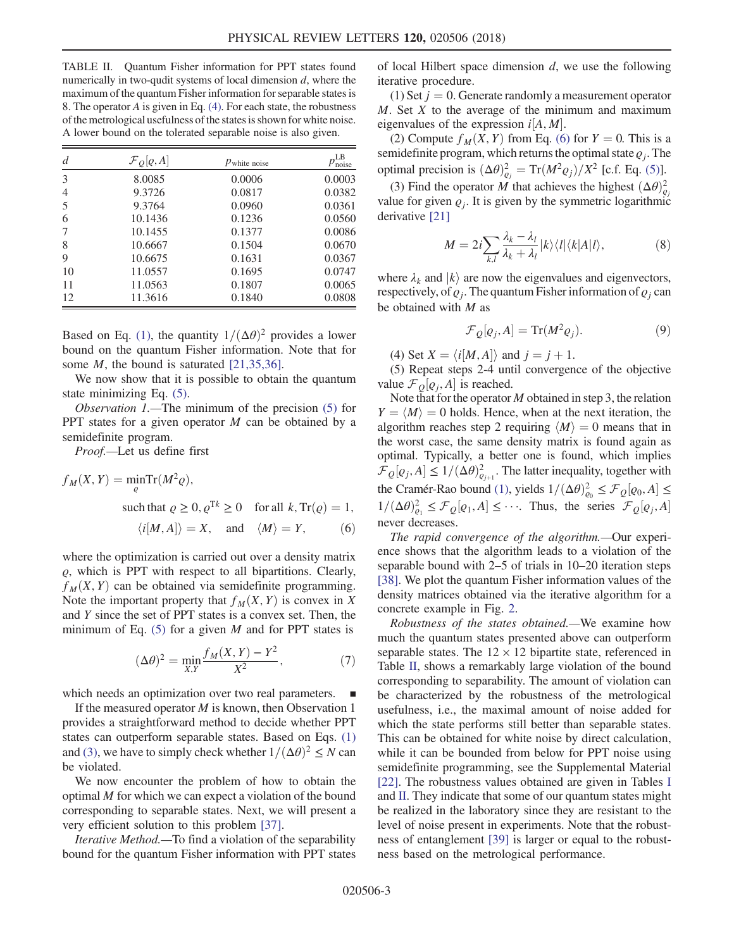<span id="page-2-0"></span>TABLE II. Quantum Fisher information for PPT states found numerically in two-qudit systems of local dimension  $d$ , where the maximum of the quantum Fisher information for separable states is 8. The operator A is given in Eq. [\(4\).](#page-1-5) For each state, the robustness of the metrological usefulness of the states is shown for white noise. A lower bound on the tolerated separable noise is also given.

| d              | $\mathcal{F}_O[\varrho,A]$ | $p_{white\ noise}$ | $p_{\rm noise}^{\rm LB}$ |
|----------------|----------------------------|--------------------|--------------------------|
| 3              | 8.0085                     | 0.0006             | 0.0003                   |
| $\overline{4}$ | 9.3726                     | 0.0817             | 0.0382                   |
| 5              | 9.3764                     | 0.0960             | 0.0361                   |
| 6              | 10.1436                    | 0.1236             | 0.0560                   |
| 7              | 10.1455                    | 0.1377             | 0.0086                   |
| 8              | 10.6667                    | 0.1504             | 0.0670                   |
| 9              | 10.6675                    | 0.1631             | 0.0367                   |
| 10             | 11.0557                    | 0.1695             | 0.0747                   |
| 11             | 11.0563                    | 0.1807             | 0.0065                   |
| 12             | 11.3616                    | 0.1840             | 0.0808                   |

Based on Eq. [\(1\),](#page-1-3) the quantity  $1/(\Delta\theta)^2$  provides a lower bound on the quantum Fisher information. Note that for some *M*, the bound is saturated [\[21,35,36\].](#page-4-7)

We now show that it is possible to obtain the quantum state minimizing Eq. [\(5\).](#page-1-4)

Observation 1.—The minimum of the precision  $(5)$  for PPT states for a given operator M can be obtained by a semidefinite program.

<span id="page-2-1"></span>*Proof.*—Let us define first

$$
f_M(X, Y) = \min_{\varrho} \text{Tr}(M^2 \varrho),
$$
  
such that  $\varrho \ge 0, \varrho^{Tk} \ge 0$  for all  $k, \text{Tr}(\varrho) = 1$ ,

 $\langle i[M, A] \rangle = X$ , and  $\langle M \rangle = Y$ , (6)

where the optimization is carried out over a density matrix  $\rho$ , which is PPT with respect to all bipartitions. Clearly,  $f<sub>M</sub>(X, Y)$  can be obtained via semidefinite programming. Note the important property that  $f_M(X, Y)$  is convex in X and  $Y$  since the set of PPT states is a convex set. Then, the minimum of Eq.  $(5)$  for a given M and for PPT states is

$$
(\Delta \theta)^2 = \min_{X,Y} \frac{f_M(X,Y) - Y^2}{X^2},
$$
\n(7)

which needs an optimization over two real parameters.

If the measured operator  $M$  is known, then Observation 1 provides a straightforward method to decide whether PPT states can outperform separable states. Based on Eqs. [\(1\)](#page-1-3) and [\(3\)](#page-1-0), we have to simply check whether  $1/(\Delta\theta)^2 \leq N$  can be violated.

We now encounter the problem of how to obtain the optimal M for which we can expect a violation of the bound corresponding to separable states. Next, we will present a very efficient solution to this problem [\[37\].](#page-4-8)

Iterative Method.—To find a violation of the separability bound for the quantum Fisher information with PPT states of local Hilbert space dimension  $d$ , we use the following iterative procedure.

(1) Set  $j = 0$ . Generate randomly a measurement operator  $M$ . Set  $X$  to the average of the minimum and maximum eigenvalues of the expression  $i[A, M]$ .

(2) Compute  $f_M(X, Y)$  from Eq. [\(6\)](#page-2-1) for  $Y = 0$ . This is a semidefinite program, which returns the optimal state  $q_j$ . The optimal precision is  $(\Delta \theta)_{\rho_j}^2 = \text{Tr}(M^2 \rho_j)/X^2$  [c.f. Eq. [\(5\)](#page-1-4)].

(3) Find the operator M that achieves the highest  $(\Delta\theta)_{\rho}^2$ value for given  $\varrho_i$ . It is given by the symmetric logarithmic derivative [\[21\]](#page-4-7)

$$
M = 2i \sum_{k,l} \frac{\lambda_k - \lambda_l}{\lambda_k + \lambda_l} |k\rangle\langle l| \langle k|A|l\rangle,\tag{8}
$$

where  $\lambda_k$  and  $|k\rangle$  are now the eigenvalues and eigenvectors, respectively, of  $q_i$ . The quantum Fisher information of  $q_i$  can be obtained with M as

$$
\mathcal{F}_{Q}[\varrho_{j}, A] = \text{Tr}(M^{2}\varrho_{j}). \tag{9}
$$

(4) Set  $X = \langle i[M, A] \rangle$  and  $j = j + 1$ .

(5) Repeat steps 2-4 until convergence of the objective value  $\mathcal{F}_{Q}[\varrho_{j},A]$  is reached.

Note that for the operator  $M$  obtained in step 3, the relation  $Y = \langle M \rangle = 0$  holds. Hence, when at the next iteration, the algorithm reaches step 2 requiring  $\langle M \rangle = 0$  means that in the worst case, the same density matrix is found again as optimal. Typically, a better one is found, which implies  $\mathcal{F}_Q[\varrho_j, A] \le 1/(\Delta \theta)_{\varrho_{j+1}}^2$ . The latter inequality, together with the Cramér-Rao bound [\(1\)](#page-1-3), yields  $1/(\Delta\theta)_{\varrho_0}^2 \leq \mathcal{F}_{Q}[\varrho_0, A] \leq$  $1/(\Delta\theta)_{\rho_1}^2 \leq \mathcal{F}_{Q}[\rho_1, A] \leq \cdots$ . Thus, the series  $\mathcal{F}_{Q}[\rho_j, A]$ never decreases.

The rapid convergence of the algorithm.—Our experience shows that the algorithm leads to a violation of the separable bound with 2–5 of trials in 10–20 iteration steps [\[38\]](#page-4-9). We plot the quantum Fisher information values of the density matrices obtained via the iterative algorithm for a concrete example in Fig. [2.](#page-3-7)

Robustness of the states obtained.—We examine how much the quantum states presented above can outperform separable states. The  $12 \times 12$  bipartite state, referenced in Table [II,](#page-2-0) shows a remarkably large violation of the bound corresponding to separability. The amount of violation can be characterized by the robustness of the metrological usefulness, i.e., the maximal amount of noise added for which the state performs still better than separable states. This can be obtained for white noise by direct calculation, while it can be bounded from below for PPT noise using semidefinite programming, see the Supplemental Material [\[22\]](#page-4-6). The robustness values obtained are given in Tables [I](#page-1-1) and [II](#page-2-0). They indicate that some of our quantum states might be realized in the laboratory since they are resistant to the level of noise present in experiments. Note that the robustness of entanglement [\[39\]](#page-5-0) is larger or equal to the robustness based on the metrological performance.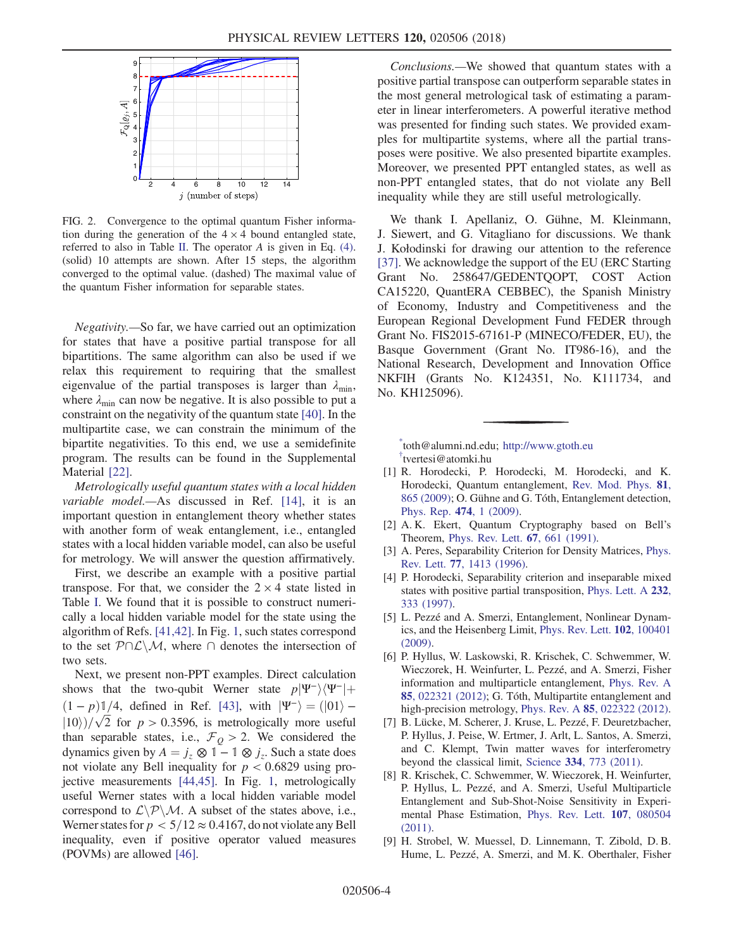<span id="page-3-7"></span>

FIG. 2. Convergence to the optimal quantum Fisher information during the generation of the  $4 \times 4$  bound entangled state, referred to also in Table [II](#page-2-0). The operator A is given in Eq. [\(4\).](#page-1-5) (solid) 10 attempts are shown. After 15 steps, the algorithm converged to the optimal value. (dashed) The maximal value of the quantum Fisher information for separable states.

Negativity.—So far, we have carried out an optimization for states that have a positive partial transpose for all bipartitions. The same algorithm can also be used if we relax this requirement to requiring that the smallest eigenvalue of the partial transposes is larger than  $\lambda_{\min}$ , where  $\lambda_{\min}$  can now be negative. It is also possible to put a constraint on the negativity of the quantum state [\[40\].](#page-5-1) In the multipartite case, we can constrain the minimum of the bipartite negativities. To this end, we use a semidefinite program. The results can be found in the Supplemental Material [\[22\].](#page-4-6)

Metrologically useful quantum states with a local hidden variable model.—As discussed in Ref. [\[14\],](#page-4-3) it is an important question in entanglement theory whether states with another form of weak entanglement, i.e., entangled states with a local hidden variable model, can also be useful for metrology. We will answer the question affirmatively.

First, we describe an example with a positive partial transpose. For that, we consider the  $2 \times 4$  state listed in Table [I.](#page-1-1) We found that it is possible to construct numerically a local hidden variable model for the state using the algorithm of Refs. [\[41,42\].](#page-5-2) In Fig. [1](#page-0-0), such states correspond to the set  $P\cap\mathcal{L}\setminus\mathcal{M}$ , where  $\cap$  denotes the intersection of two sets.

Next, we present non-PPT examples. Direct calculation shows that the two-qubit Werner state  $p|\Psi^{-}\rangle\langle\Psi^{-}|+$  $(1-p)$  1/4, defined in Ref. [\[43\]](#page-5-3), with  $|\Psi^{-}\rangle = (|01\rangle |10\rangle$ )/ $\sqrt{2}$  for  $p > 0.3596$ , is metrologically more useful than separable states, i.e.,  $\mathcal{F}_0 > 2$ . We considered the dynamics given by  $A = j_z \otimes 1 - 1 \otimes j_z$ . Such a state does not violate any Bell inequality for  $p < 0.6829$  using projective measurements [\[44,45\]](#page-5-4). In Fig. [1,](#page-0-0) metrologically useful Werner states with a local hidden variable model correspond to  $L\backslash P\backslash M$ . A subset of the states above, i.e., Werner states for  $p < 5/12 \approx 0.4167$ , do not violate any Bell inequality, even if positive operator valued measures (POVMs) are allowed [\[46\]](#page-5-5).

Conclusions.—We showed that quantum states with a positive partial transpose can outperform separable states in the most general metrological task of estimating a parameter in linear interferometers. A powerful iterative method was presented for finding such states. We provided examples for multipartite systems, where all the partial transposes were positive. We also presented bipartite examples. Moreover, we presented PPT entangled states, as well as non-PPT entangled states, that do not violate any Bell inequality while they are still useful metrologically.

We thank I. Apellaniz, O. Gühne, M. Kleinmann, J. Siewert, and G. Vitagliano for discussions. We thank J. Kołodinski for drawing our attention to the reference [\[37\]](#page-4-8). We acknowledge the support of the EU (ERC Starting Grant No. 258647/GEDENTQOPT, COST Action CA15220, QuantERA CEBBEC), the Spanish Ministry of Economy, Industry and Competitiveness and the European Regional Development Fund FEDER through Grant No. FIS2015-67161-P (MINECO/FEDER, EU), the Basque Government (Grant No. IT986-16), and the National Research, Development and Innovation Office NKFIH (Grants No. K124351, No. K111734, and No. KH125096).

<span id="page-3-1"></span><span id="page-3-0"></span>[\\*](#page-0-1) toth@alumni.nd.edu; <http://www.gtoth.eu> [†](#page-0-1) tvertesi@atomki.hu

- <span id="page-3-2"></span>[1] R. Horodecki, P. Horodecki, M. Horodecki, and K. Horodecki, Quantum entanglement, [Rev. Mod. Phys.](https://doi.org/10.1103/RevModPhys.81.865) 81, [865 \(2009\)](https://doi.org/10.1103/RevModPhys.81.865); O. Gühne and G. Tóth, Entanglement detection, [Phys. Rep.](https://doi.org/10.1016/j.physrep.2009.02.004) 474, 1 (2009).
- <span id="page-3-4"></span><span id="page-3-3"></span>[2] A. K. Ekert, Quantum Cryptography based on Bell's Theorem, [Phys. Rev. Lett.](https://doi.org/10.1103/PhysRevLett.67.661) 67, 661 (1991).
- [3] A. Peres, Separability Criterion for Density Matrices, [Phys.](https://doi.org/10.1103/PhysRevLett.77.1413) Rev. Lett. 77[, 1413 \(1996\)](https://doi.org/10.1103/PhysRevLett.77.1413).
- [4] P. Horodecki, Separability criterion and inseparable mixed states with positive partial transposition, [Phys. Lett. A](https://doi.org/10.1016/S0375-9601(97)00416-7) 232, [333 \(1997\)](https://doi.org/10.1016/S0375-9601(97)00416-7).
- <span id="page-3-5"></span>[5] L. Pezzé and A. Smerzi, Entanglement, Nonlinear Dynamics, and the Heisenberg Limit, [Phys. Rev. Lett.](https://doi.org/10.1103/PhysRevLett.102.100401) 102, 100401 [\(2009\).](https://doi.org/10.1103/PhysRevLett.102.100401)
- <span id="page-3-6"></span>[6] P. Hyllus, W. Laskowski, R. Krischek, C. Schwemmer, W. Wieczorek, H. Weinfurter, L. Pezzé, and A. Smerzi, Fisher information and multiparticle entanglement, [Phys. Rev. A](https://doi.org/10.1103/PhysRevA.85.022321) 85[, 022321 \(2012\);](https://doi.org/10.1103/PhysRevA.85.022321) G. Tóth, Multipartite entanglement and high-precision metrology, Phys. Rev. A 85[, 022322 \(2012\).](https://doi.org/10.1103/PhysRevA.85.022322)
- [7] B. Lücke, M. Scherer, J. Kruse, L. Pezzé, F. Deuretzbacher, P. Hyllus, J. Peise, W. Ertmer, J. Arlt, L. Santos, A. Smerzi, and C. Klempt, Twin matter waves for interferometry beyond the classical limit, Science 334[, 773 \(2011\)](https://doi.org/10.1126/science.1208798).
- [8] R. Krischek, C. Schwemmer, W. Wieczorek, H. Weinfurter, P. Hyllus, L. Pezzé, and A. Smerzi, Useful Multiparticle Entanglement and Sub-Shot-Noise Sensitivity in Experimental Phase Estimation, [Phys. Rev. Lett.](https://doi.org/10.1103/PhysRevLett.107.080504) 107, 080504 [\(2011\).](https://doi.org/10.1103/PhysRevLett.107.080504)
- [9] H. Strobel, W. Muessel, D. Linnemann, T. Zibold, D. B. Hume, L. Pezzé, A. Smerzi, and M. K. Oberthaler, Fisher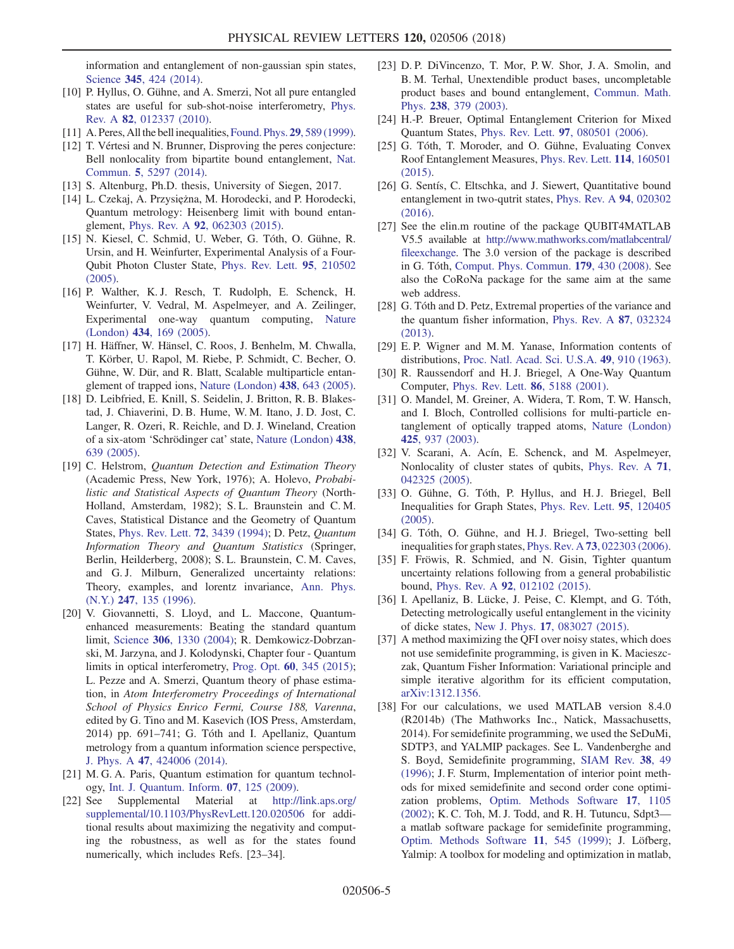information and entanglement of non-gaussian spin states, Science 345[, 424 \(2014\)](https://doi.org/10.1126/science.1250147).

- <span id="page-4-0"></span>[10] P. Hyllus, O. Gühne, and A. Smerzi, Not all pure entangled states are useful for sub-shot-noise interferometry, [Phys.](https://doi.org/10.1103/PhysRevA.82.012337) Rev. A 82[, 012337 \(2010\)](https://doi.org/10.1103/PhysRevA.82.012337).
- <span id="page-4-1"></span>[11] A. Peres, All the bell inequalities, [Found. Phys.](https://doi.org/10.1023/A:1018816310000) 29, 589 (1999).
- <span id="page-4-2"></span>[12] T. Vértesi and N. Brunner, Disproving the peres conjecture: Bell nonlocality from bipartite bound entanglement, [Nat.](https://doi.org/10.1038/ncomms6297) Commun. 5[, 5297 \(2014\).](https://doi.org/10.1038/ncomms6297)
- [13] S. Altenburg, Ph.D. thesis, University of Siegen, 2017.
- <span id="page-4-3"></span>[14] L. Czekaj, A. Przysiężna, M. Horodecki, and P. Horodecki, Quantum metrology: Heisenberg limit with bound entanglement, Phys. Rev. A 92[, 062303 \(2015\)](https://doi.org/10.1103/PhysRevA.92.062303).
- <span id="page-4-4"></span>[15] N. Kiesel, C. Schmid, U. Weber, G. Tóth, O. Gühne, R. Ursin, and H. Weinfurter, Experimental Analysis of a Four-Qubit Photon Cluster State, [Phys. Rev. Lett.](https://doi.org/10.1103/PhysRevLett.95.210502) 95, 210502 [\(2005\).](https://doi.org/10.1103/PhysRevLett.95.210502)
- [16] P. Walther, K. J. Resch, T. Rudolph, E. Schenck, H. Weinfurter, V. Vedral, M. Aspelmeyer, and A. Zeilinger, Experimental one-way quantum computing, [Nature](https://doi.org/10.1038/nature03347) (London) 434[, 169 \(2005\)](https://doi.org/10.1038/nature03347).
- [17] H. Häffner, W. Hänsel, C. Roos, J. Benhelm, M. Chwalla, T. Körber, U. Rapol, M. Riebe, P. Schmidt, C. Becher, O. Gühne, W. Dür, and R. Blatt, Scalable multiparticle entanglement of trapped ions, [Nature \(London\)](https://doi.org/10.1038/nature04279) 438, 643 (2005).
- [18] D. Leibfried, E. Knill, S. Seidelin, J. Britton, R. B. Blakestad, J. Chiaverini, D. B. Hume, W. M. Itano, J. D. Jost, C. Langer, R. Ozeri, R. Reichle, and D. J. Wineland, Creation of a six-atom 'Schrödinger cat' state, [Nature \(London\)](https://doi.org/10.1038/nature04251) 438, [639 \(2005\)](https://doi.org/10.1038/nature04251).
- <span id="page-4-5"></span>[19] C. Helstrom, Quantum Detection and Estimation Theory (Academic Press, New York, 1976); A. Holevo, Probabilistic and Statistical Aspects of Quantum Theory (North-Holland, Amsterdam, 1982); S. L. Braunstein and C. M. Caves, Statistical Distance and the Geometry of Quantum States, [Phys. Rev. Lett.](https://doi.org/10.1103/PhysRevLett.72.3439) 72, 3439 (1994); D. Petz, Quantum Information Theory and Quantum Statistics (Springer, Berlin, Heilderberg, 2008); S. L. Braunstein, C. M. Caves, and G. J. Milburn, Generalized uncertainty relations: Theory, examples, and lorentz invariance, [Ann. Phys.](https://doi.org/10.1006/aphy.1996.0040) (N.Y.) 247[, 135 \(1996\)](https://doi.org/10.1006/aphy.1996.0040).
- [20] V. Giovannetti, S. Lloyd, and L. Maccone, Quantumenhanced measurements: Beating the standard quantum limit, Science 306[, 1330 \(2004\)](https://doi.org/10.1126/science.1104149); R. Demkowicz-Dobrzanski, M. Jarzyna, and J. Kolodynski, Chapter four - Quantum limits in optical interferometry, Prog. Opt. 60[, 345 \(2015\)](https://doi.org/10.1016/bs.po.2015.02.003); L. Pezze and A. Smerzi, Quantum theory of phase estimation, in Atom Interferometry Proceedings of International School of Physics Enrico Fermi, Course 188, Varenna, edited by G. Tino and M. Kasevich (IOS Press, Amsterdam, 2014) pp. 691–741; G. Tóth and I. Apellaniz, Quantum metrology from a quantum information science perspective, J. Phys. A 47[, 424006 \(2014\).](https://doi.org/10.1088/1751-8113/47/42/424006)
- <span id="page-4-7"></span>[21] M. G. A. Paris, Quantum estimation for quantum technol-
- <span id="page-4-6"></span>ogy, [Int. J. Quantum. Inform.](https://doi.org/10.1142/S0219749909004839) 07, 125 (2009).<br>[22] See Supplemental Material at http:// Supplemental Material at [http://link.aps.org/](http://link.aps.org/supplemental/10.1103/PhysRevLett.120.020506) [supplemental/10.1103/PhysRevLett.120.020506](http://link.aps.org/supplemental/10.1103/PhysRevLett.120.020506) for additional results about maximizing the negativity and computing the robustness, as well as for the states found numerically, which includes Refs. [23–34].
- [23] D. P. DiVincenzo, T. Mor, P. W. Shor, J. A. Smolin, and B. M. Terhal, Unextendible product bases, uncompletable product bases and bound entanglement, [Commun. Math.](https://doi.org/10.1007/s00220-003-0877-6) Phys. 238[, 379 \(2003\).](https://doi.org/10.1007/s00220-003-0877-6)
- [24] H.-P. Breuer, Optimal Entanglement Criterion for Mixed Quantum States, Phys. Rev. Lett. 97[, 080501 \(2006\).](https://doi.org/10.1103/PhysRevLett.97.080501)
- [25] G. Tóth, T. Moroder, and O. Gühne, Evaluating Convex Roof Entanglement Measures, [Phys. Rev. Lett.](https://doi.org/10.1103/PhysRevLett.114.160501) 114, 160501 [\(2015\).](https://doi.org/10.1103/PhysRevLett.114.160501)
- [26] G. Sentís, C. Eltschka, and J. Siewert, Quantitative bound entanglement in two-qutrit states, [Phys. Rev. A](https://doi.org/10.1103/PhysRevA.94.020302) 94, 020302 [\(2016\).](https://doi.org/10.1103/PhysRevA.94.020302)
- [27] See the elin.m routine of the package QUBIT4MATLAB V5.5 available at [http://www.mathworks.com/matlabcentral/](http://www.mathworks.com/matlabcentral/fileexchange) [fileexchange](http://www.mathworks.com/matlabcentral/fileexchange). The 3.0 version of the package is described in G. Tóth, [Comput. Phys. Commun.](https://doi.org/10.1016/j.cpc.2008.03.007) 179, 430 (2008). See also the CoRoNa package for the same aim at the same web address.
- [28] G. Tóth and D. Petz, Extremal properties of the variance and the quantum fisher information, [Phys. Rev. A](https://doi.org/10.1103/PhysRevA.87.032324) 87, 032324 [\(2013\).](https://doi.org/10.1103/PhysRevA.87.032324)
- [29] E. P. Wigner and M. M. Yanase, Information contents of distributions, [Proc. Natl. Acad. Sci. U.S.A.](https://doi.org/10.1073/pnas.49.6.910) 49, 910 (1963).
- [30] R. Raussendorf and H. J. Briegel, A One-Way Quantum Computer, [Phys. Rev. Lett.](https://doi.org/10.1103/PhysRevLett.86.5188) 86, 5188 (2001).
- [31] O. Mandel, M. Greiner, A. Widera, T. Rom, T. W. Hansch, and I. Bloch, Controlled collisions for multi-particle entanglement of optically trapped atoms, [Nature \(London\)](https://doi.org/10.1038/nature02008) 425[, 937 \(2003\)](https://doi.org/10.1038/nature02008).
- [32] V. Scarani, A. Acín, E. Schenck, and M. Aspelmeyer, Nonlocality of cluster states of qubits, [Phys. Rev. A](https://doi.org/10.1103/PhysRevA.71.042325) 71, [042325 \(2005\).](https://doi.org/10.1103/PhysRevA.71.042325)
- [33] O. Gühne, G. Tóth, P. Hyllus, and H.J. Briegel, Bell Inequalities for Graph States, [Phys. Rev. Lett.](https://doi.org/10.1103/PhysRevLett.95.120405) 95, 120405 [\(2005\).](https://doi.org/10.1103/PhysRevLett.95.120405)
- [34] G. Tóth, O. Gühne, and H.J. Briegel, Two-setting bell inequalities for graph states, Phys. Rev. A 73[, 022303 \(2006\).](https://doi.org/10.1103/PhysRevA.73.022303)
- [35] F. Fröwis, R. Schmied, and N. Gisin, Tighter quantum uncertainty relations following from a general probabilistic bound, Phys. Rev. A 92[, 012102 \(2015\).](https://doi.org/10.1103/PhysRevA.92.012102)
- [36] I. Apellaniz, B. Lücke, J. Peise, C. Klempt, and G. Tóth, Detecting metrologically useful entanglement in the vicinity of dicke states, New J. Phys. 17[, 083027 \(2015\).](https://doi.org/10.1088/1367-2630/17/8/083027)
- <span id="page-4-8"></span>[37] A method maximizing the QFI over noisy states, which does not use semidefinite programming, is given in K. Macieszczak, Quantum Fisher Information: Variational principle and simple iterative algorithm for its efficient computation, [arXiv:1312.1356.](http://arXiv.org/abs/1312.1356)
- <span id="page-4-9"></span>[38] For our calculations, we used MATLAB version 8.4.0 (R2014b) (The Mathworks Inc., Natick, Massachusetts, 2014). For semidefinite programming, we used the SeDuMi, SDTP3, and YALMIP packages. See L. Vandenberghe and S. Boyd, Semidefinite programming, [SIAM Rev.](https://doi.org/10.1137/1038003) 38, 49 [\(1996\);](https://doi.org/10.1137/1038003) J. F. Sturm, Implementation of interior point methods for mixed semidefinite and second order cone optimization problems, [Optim. Methods Software](https://doi.org/10.1080/1055678021000045123) 17, 1105 [\(2002\);](https://doi.org/10.1080/1055678021000045123) K. C. Toh, M. J. Todd, and R. H. Tutuncu, Sdpt3 a matlab software package for semidefinite programming, [Optim. Methods Software](https://doi.org/10.1080/10556789908805762) 11, 545 (1999); J. Löfberg, Yalmip: A toolbox for modeling and optimization in matlab,